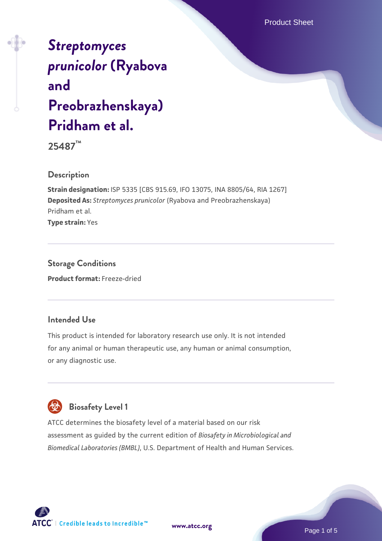Product Sheet

# *[Streptomyces](https://www.atcc.org/products/25487) [prunicolor](https://www.atcc.org/products/25487)* **[\(Ryabova](https://www.atcc.org/products/25487) [and](https://www.atcc.org/products/25487) [Preobrazhenskaya\)](https://www.atcc.org/products/25487) [Pridham et al.](https://www.atcc.org/products/25487)**

**25487™**

# **Description**

**Strain designation:** ISP 5335 [CBS 915.69, IFO 13075, INA 8805/64, RIA 1267] **Deposited As:** *Streptomyces prunicolor* (Ryabova and Preobrazhenskaya) Pridham et al. **Type strain:** Yes

**Storage Conditions Product format:** Freeze-dried

### **Intended Use**

This product is intended for laboratory research use only. It is not intended for any animal or human therapeutic use, any human or animal consumption, or any diagnostic use.



# **Biosafety Level 1**

ATCC determines the biosafety level of a material based on our risk assessment as guided by the current edition of *Biosafety in Microbiological and Biomedical Laboratories (BMBL)*, U.S. Department of Health and Human Services.

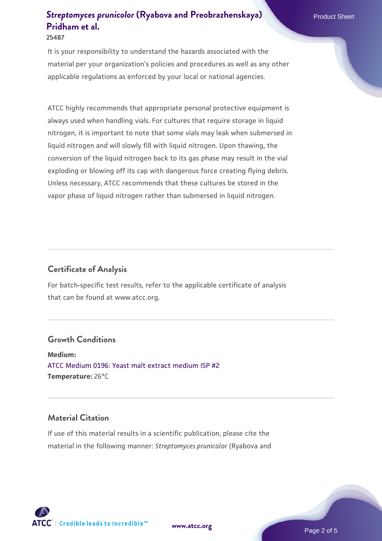**25487**

It is your responsibility to understand the hazards associated with the material per your organization's policies and procedures as well as any other applicable regulations as enforced by your local or national agencies.

ATCC highly recommends that appropriate personal protective equipment is always used when handling vials. For cultures that require storage in liquid nitrogen, it is important to note that some vials may leak when submersed in liquid nitrogen and will slowly fill with liquid nitrogen. Upon thawing, the conversion of the liquid nitrogen back to its gas phase may result in the vial exploding or blowing off its cap with dangerous force creating flying debris. Unless necessary, ATCC recommends that these cultures be stored in the vapor phase of liquid nitrogen rather than submersed in liquid nitrogen.

# **Certificate of Analysis**

For batch-specific test results, refer to the applicable certificate of analysis that can be found at www.atcc.org.

#### **Growth Conditions**

**Medium:**  [ATCC Medium 0196: Yeast malt extract medium ISP #2](https://www.atcc.org/-/media/product-assets/documents/microbial-media-formulations/1/9/6/atcc-medium-0196.pdf?rev=3ab98ce3034f46208b34017336aa4c86) **Temperature:** 26°C

### **Material Citation**

If use of this material results in a scientific publication, please cite the material in the following manner: *Streptomyces prunicolor* (Ryabova and

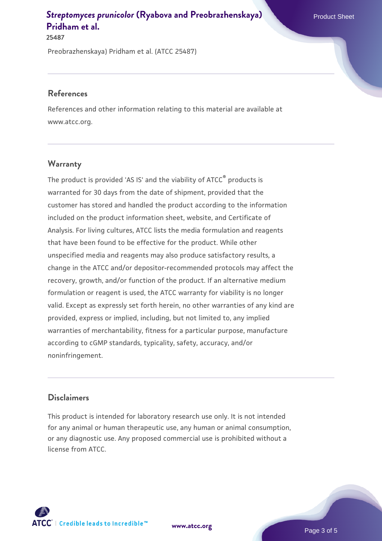**25487**

Preobrazhenskaya) Pridham et al. (ATCC 25487)

#### **References**

References and other information relating to this material are available at www.atcc.org.

# **Warranty**

The product is provided 'AS IS' and the viability of ATCC® products is warranted for 30 days from the date of shipment, provided that the customer has stored and handled the product according to the information included on the product information sheet, website, and Certificate of Analysis. For living cultures, ATCC lists the media formulation and reagents that have been found to be effective for the product. While other unspecified media and reagents may also produce satisfactory results, a change in the ATCC and/or depositor-recommended protocols may affect the recovery, growth, and/or function of the product. If an alternative medium formulation or reagent is used, the ATCC warranty for viability is no longer valid. Except as expressly set forth herein, no other warranties of any kind are provided, express or implied, including, but not limited to, any implied warranties of merchantability, fitness for a particular purpose, manufacture according to cGMP standards, typicality, safety, accuracy, and/or noninfringement.

# **Disclaimers**

This product is intended for laboratory research use only. It is not intended for any animal or human therapeutic use, any human or animal consumption, or any diagnostic use. Any proposed commercial use is prohibited without a license from ATCC.

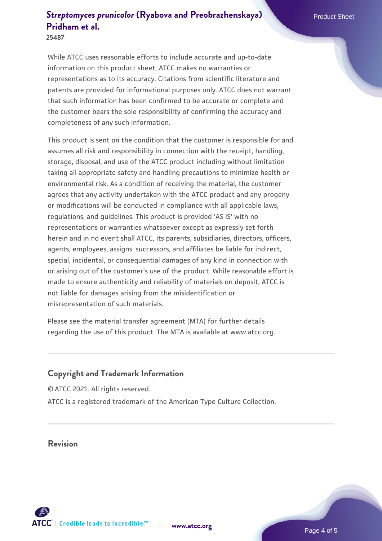**25487**

While ATCC uses reasonable efforts to include accurate and up-to-date information on this product sheet, ATCC makes no warranties or representations as to its accuracy. Citations from scientific literature and patents are provided for informational purposes only. ATCC does not warrant that such information has been confirmed to be accurate or complete and the customer bears the sole responsibility of confirming the accuracy and completeness of any such information.

This product is sent on the condition that the customer is responsible for and assumes all risk and responsibility in connection with the receipt, handling, storage, disposal, and use of the ATCC product including without limitation taking all appropriate safety and handling precautions to minimize health or environmental risk. As a condition of receiving the material, the customer agrees that any activity undertaken with the ATCC product and any progeny or modifications will be conducted in compliance with all applicable laws, regulations, and guidelines. This product is provided 'AS IS' with no representations or warranties whatsoever except as expressly set forth herein and in no event shall ATCC, its parents, subsidiaries, directors, officers, agents, employees, assigns, successors, and affiliates be liable for indirect, special, incidental, or consequential damages of any kind in connection with or arising out of the customer's use of the product. While reasonable effort is made to ensure authenticity and reliability of materials on deposit, ATCC is not liable for damages arising from the misidentification or misrepresentation of such materials.

Please see the material transfer agreement (MTA) for further details regarding the use of this product. The MTA is available at www.atcc.org.

# **Copyright and Trademark Information**

© ATCC 2021. All rights reserved. ATCC is a registered trademark of the American Type Culture Collection.

**Revision**